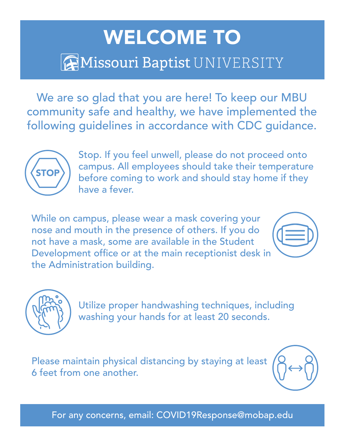## WELCOME TO **AMissouri Baptist UNIVERSITY**

We are so glad that you are here! To keep our MBU community safe and healthy, we have implemented the following guidelines in accordance with CDC guidance.



Stop. If you feel unwell, please do not proceed onto campus. All employees should take their temperature before coming to work and should stay home if they have a fever.

While on campus, please wear a mask covering your nose and mouth in the presence of others. If you do not have a mask, some are available in the Student Development office or at the main receptionist desk in the Administration building.





Utilize proper handwashing techniques, including washing your hands for at least 20 seconds.

Please maintain physical distancing by staying at least 6 feet from one another.



For any concerns, email: COVID19Response@mobap.edu